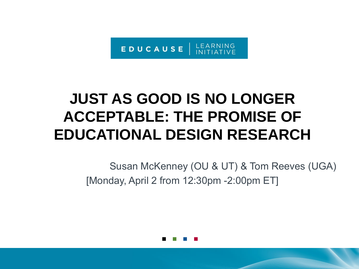

# **JUST AS GOOD IS NO LONGER ACCEPTABLE: THE PROMISE OF EDUCATIONAL DESIGN RESEARCH**

Susan McKenney (OU & UT) & Tom Reeves (UGA) [Monday, April 2 from 12:30pm -2:00pm ET]

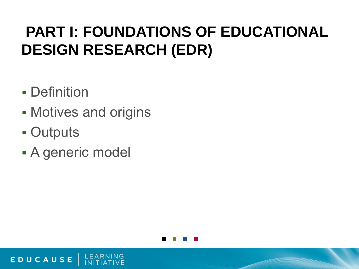# **PART I: FOUNDATIONS OF EDUCATIONAL DESIGN RESEARCH (EDR)**

- **-** Definition
- **Motives and origins**
- **Outputs**

EDUCAUSE

A generic model

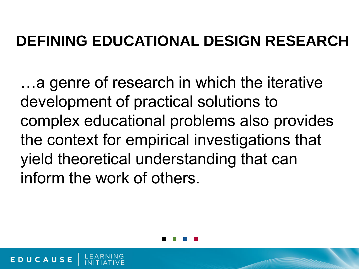## **DEFINING EDUCATIONAL DESIGN RESEARCH**

…a genre of research in which the iterative development of practical solutions to complex educational problems also provides the context for empirical investigations that yield theoretical understanding that can inform the work of others.

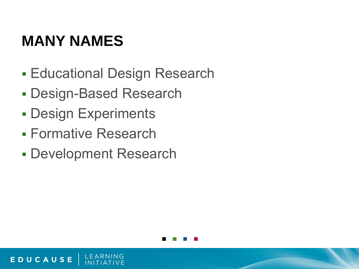#### **MANY NAMES**

- **Educational Design Research**
- Design-Based Research
- Design Experiments
- Formative Research

EDUCAUSE

Development Research

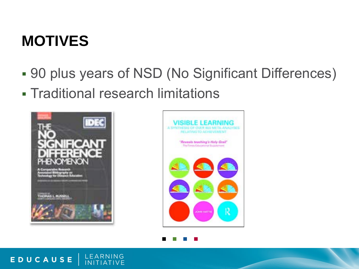#### **MOTIVES**

- 90 plus years of NSD (No Significant Differences)
- Traditional research limitations





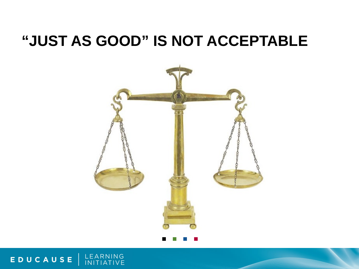#### **"JUST AS GOOD" IS NOT ACCEPTABLE**



EDUCAUSE | LEARNING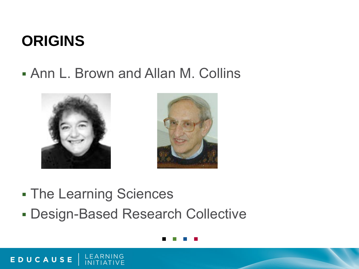#### **ORIGINS**

EDUCAUSE

Ann L. Brown and Allan M. Collins



- **The Learning Sciences**
- Design-Based Research Collective

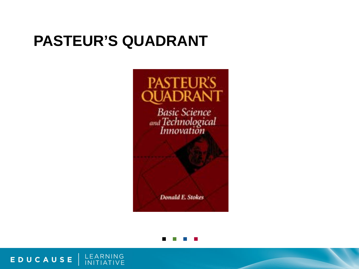#### **PASTEUR'S QUADRANT**





LEARNING<br>INITIATIVE EDUCAUSE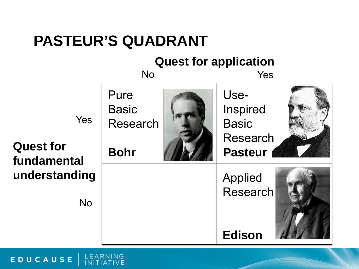#### **PASTEUR'S QUADRANT**

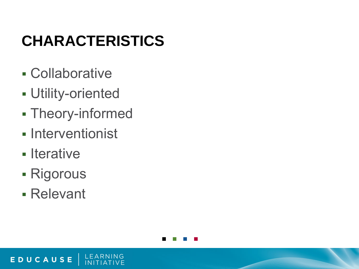# **CHARACTERISTICS**

- Collaborative
- Utility-oriented
- Theory-informed
- **Interventionist**
- Iterative
- Rigorous
- Relevant

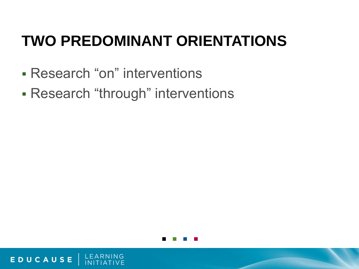# **TWO PREDOMINANT ORIENTATIONS**

Research "on" interventions

EDUCAUSE

Research "through" interventions

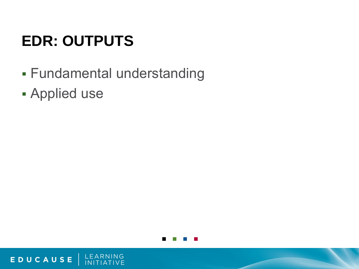# **EDR: OUTPUTS**

- Fundamental understanding
- Applied use

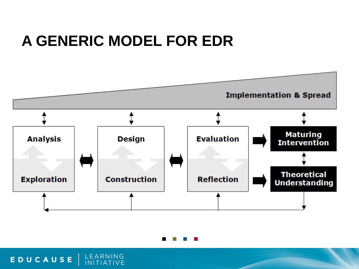#### **A GENERIC MODEL FOR EDR**





EDUCAUSE | LEARNING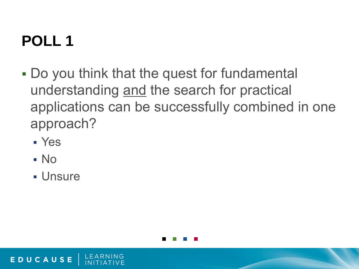# **POLL 1**

- Do you think that the quest for fundamental understanding and the search for practical applications can be successfully combined in one approach?
	- Yes
	- No

EDUCAUSE

**- Unsure** 

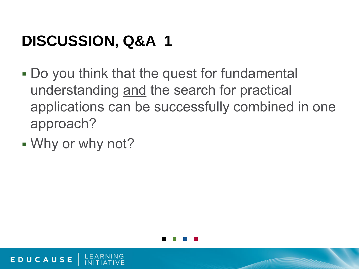# **DISCUSSION, Q&A 1**

- Do you think that the quest for fundamental understanding and the search for practical applications can be successfully combined in one approach?
- Why or why not?

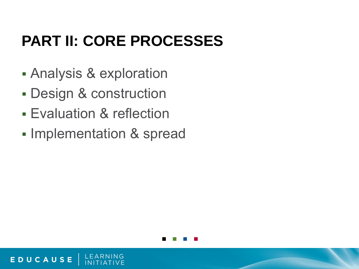# **PART II: CORE PROCESSES**

- Analysis & exploration
- Design & construction
- Evaluation & reflection

EDUCAUSE

**Implementation & spread** 

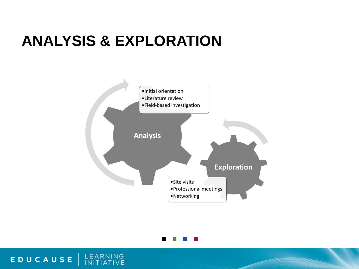#### **ANALYSIS & EXPLORATION**

LEARNING<br>INITIATIVE



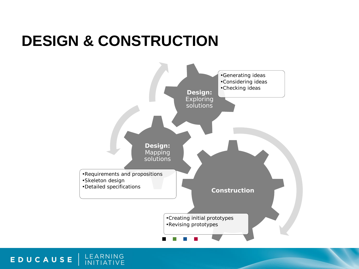#### **DESIGN & CONSTRUCTION**



LEARNING<br>INITIATIVE EDUCAUSE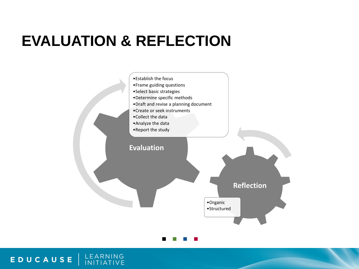#### **EVALUATION & REFLECTION**





#### LEARNING<br>INITIATIVE EDUCAUSE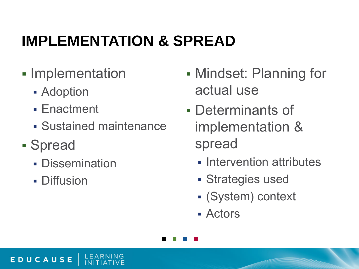# **IMPLEMENTATION & SPREAD**

- **-** Implementation
	- **Adoption**
	- **Enactment**
	- Sustained maintenance
- Spread

- **Dissemination**
- **Diffusion**
- Mindset: Planning for actual use
- Determinants of implementation & spread
	- **Intervention attributes**
	- Strategies used
	- (System) context
	- Actors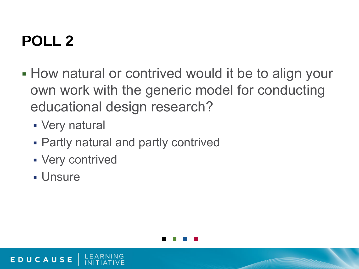# **POLL 2**

- **How natural or contrived would it be to align your** own work with the generic model for conducting educational design research?
	- Very natural
	- Partly natural and partly contrived
	- Very contrived
	- **Unsure**

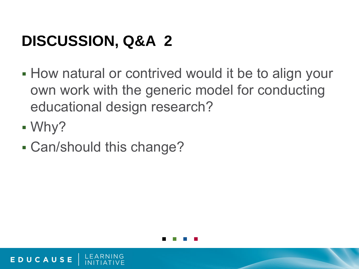# **DISCUSSION, Q&A 2**

- **How natural or contrived would it be to align your** own work with the generic model for conducting educational design research?
- Why?

EDUCAUSE

Can/should this change?

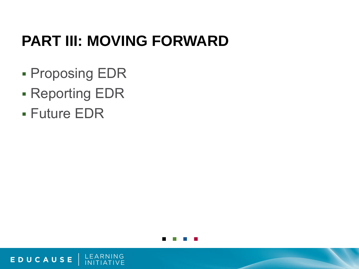# **PART III: MOVING FORWARD**

- **Proposing EDR**
- Reporting EDR
- Future EDR

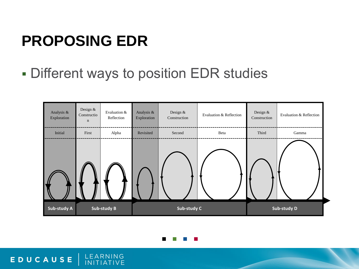## **PROPOSING EDR**

Different ways to position EDR studies





EDUCAUSE | LEARNING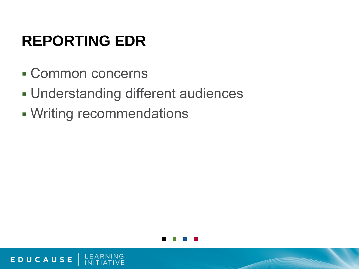# **REPORTING EDR**

Common concerns

- Understanding different audiences
- Writing recommendations

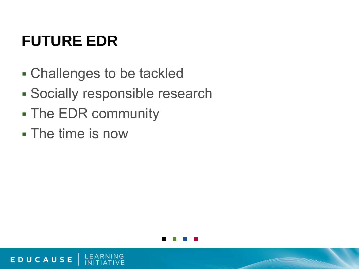# **FUTURE EDR**

- Challenges to be tackled
- Socially responsible research
- **The EDR community**
- The time is now

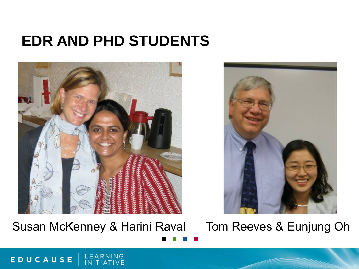#### **EDR AND PHD STUDENTS**



Susan McKenney & Harini Raval Tom Reeves & Eunjung Oh



LEARNING<br>INITIATIVE EDUCAUSE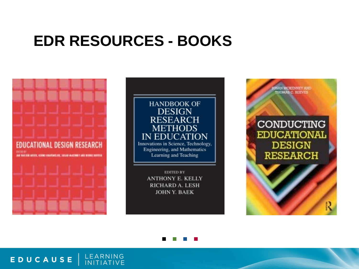#### **EDR RESOURCES - BOOKS**



EDUCAUSE

LEARNING

**INITIATIVE** 



**RICHARD A. LESH JOHN Y. BAEK** 

**ISAN MCKENNEY AND HOMAS C. REEVES CONDUCTING EDUCATIONAL DESIGN RESEARCH** 

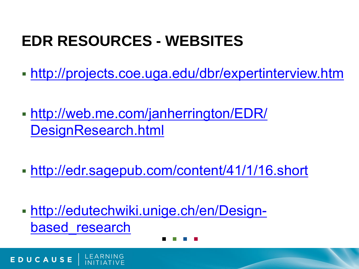# **EDR RESOURCES - WEBSITES**

- <http://projects.coe.uga.edu/dbr/expertinterview.htm>
- [http://web.me.com/janherrington/EDR/](http://web.me.com/janherrington/EDR/DesignResearch.html) [DesignResearch.html](http://web.me.com/janherrington/EDR/DesignResearch.html)
- [http://edr.sagepub.com/content/41/1/16.short](http://web.me.com/janherrington/EDR/DesignResearch.html)
- [http://edutechwiki.unige.ch/en/Design](http://edutechwiki.unige.ch/en/Design-based_research)based research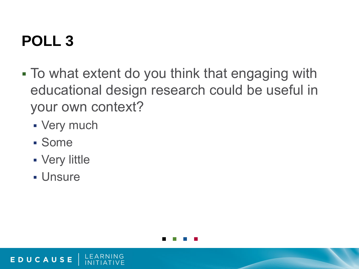# **POLL 3**

- To what extent do you think that engaging with educational design research could be useful in your own context?
	- Very much
	- Some
	- Very little
	- Unsure

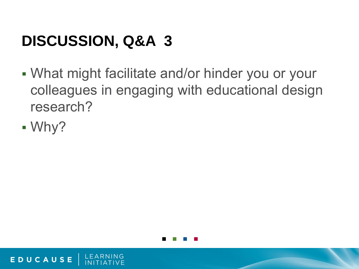# **DISCUSSION, Q&A 3**

- What might facilitate and/or hinder you or your colleagues in engaging with educational design research?
- Why?